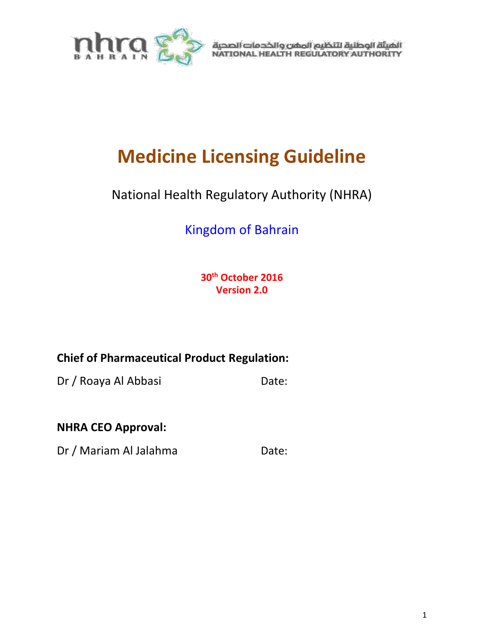

الهيئة الوطنية لتنظيم المفن والخدمات الصحية<br>NATIONAL HEALTH REGULATORY AUTHORITY

# **Medicine Licensing Guideline**

# National Health Regulatory Authority (NHRA)

# Kingdom of Bahrain

**30th October 2016 Version 2.0**

# **Chief of Pharmaceutical Product Regulation:**

Dr / Roaya Al Abbasi Date:

# **NHRA CEO Approval:**

Dr / Mariam Al Jalahma Date: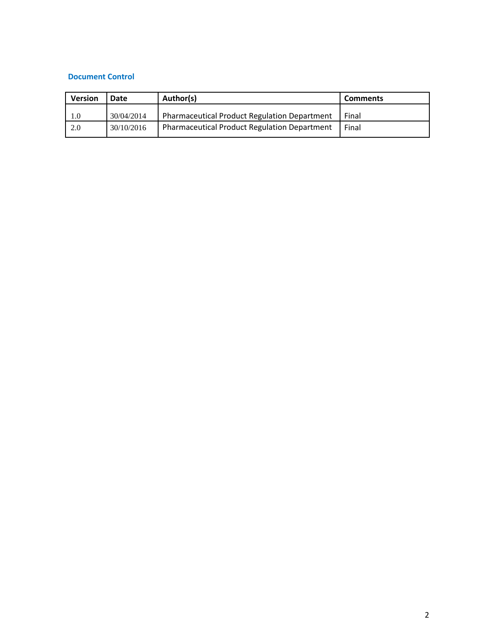#### **Document Control**

| <b>Version</b> | <b>Date</b> | Author(s)                                           | <b>Comments</b> |
|----------------|-------------|-----------------------------------------------------|-----------------|
| 1.0            | 30/04/2014  | <b>Pharmaceutical Product Regulation Department</b> | Final           |
| 2.0            | 30/10/2016  | <b>Pharmaceutical Product Regulation Department</b> | Final           |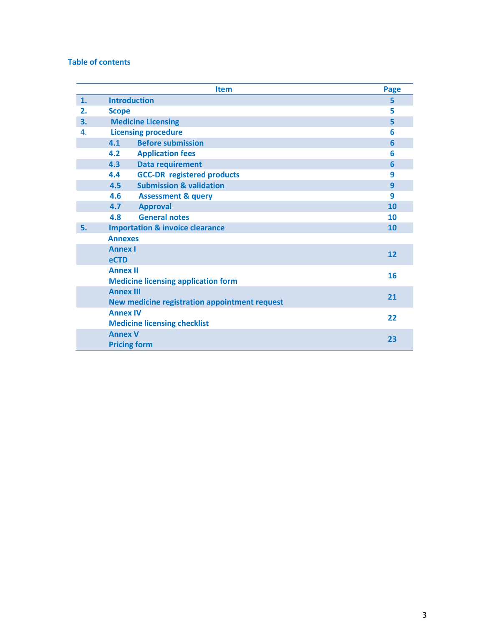#### **Table of contents**

|                | <b>Item</b>                                   | Page      |
|----------------|-----------------------------------------------|-----------|
| 1.             | <b>Introduction</b>                           | 5         |
| 2.             | <b>Scope</b>                                  | 5         |
| 3.             | <b>Medicine Licensing</b>                     | 5         |
| $\mathbf{A}$ . | <b>Licensing procedure</b>                    | 6         |
|                | <b>Before submission</b><br>4.1               | 6         |
|                | <b>Application fees</b><br>4.2                | 6         |
|                | <b>Data requirement</b><br>4.3                | 6         |
|                | <b>GCC-DR</b> registered products<br>4.4      | 9         |
|                | <b>Submission &amp; validation</b><br>4.5     | 9         |
|                | 4.6<br><b>Assessment &amp; query</b>          | 9         |
|                | 4.7<br><b>Approval</b>                        | 10        |
|                | <b>General notes</b><br>4.8                   | 10        |
| 5.             | <b>Importation &amp; invoice clearance</b>    | <b>10</b> |
|                | <b>Annexes</b>                                |           |
|                | <b>Annex I</b>                                | 12        |
|                | <b>eCTD</b>                                   |           |
|                | <b>Annex II</b>                               | 16        |
|                | <b>Medicine licensing application form</b>    |           |
|                | <b>Annex III</b>                              | 21        |
|                | New medicine registration appointment request |           |
|                | <b>Annex IV</b>                               | 22        |
|                | <b>Medicine licensing checklist</b>           |           |
|                | <b>Annex V</b>                                | 23        |
|                | <b>Pricing form</b>                           |           |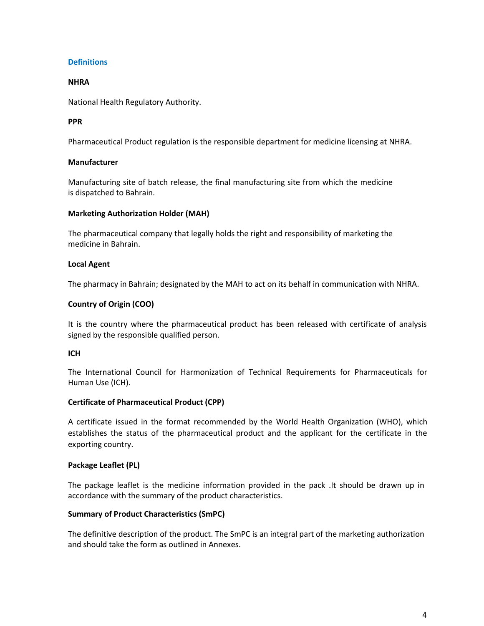#### **Definitions**

#### **NHRA**

National Health Regulatory Authority.

#### **PPR**

Pharmaceutical Product regulation is the responsible department for medicine licensing at NHRA.

#### **Manufacturer**

Manufacturing site of batch release, the final manufacturing site from which the medicine is dispatched to Bahrain.

#### **Marketing Authorization Holder (MAH)**

The pharmaceutical company that legally holds the right and responsibility of marketing the medicine in Bahrain.

#### **Local Agent**

The pharmacy in Bahrain; designated by the MAH to act on its behalf in communication with NHRA.

#### **Country of Origin (COO)**

It is the country where the pharmaceutical product has been released with certificate of analysis signed by the responsible qualified person.

#### **ICH**

The International Council for Harmonization of Technical Requirements for Pharmaceuticals for Human Use (ICH).

#### **Certificate of Pharmaceutical Product (CPP)**

A certificate issued in the format recommended by the World Health Organization (WHO), which establishes the status of the pharmaceutical product and the applicant for the certificate in the exporting country.

#### **Package Leaflet (PL)**

The package leaflet is the medicine information provided in the pack .It should be drawn up in accordance with the summary of the product characteristics.

#### **Summary of Product Characteristics (SmPC)**

The definitive description of the product. The SmPC is an integral part of the marketing authorization and should take the form as outlined in Annexes.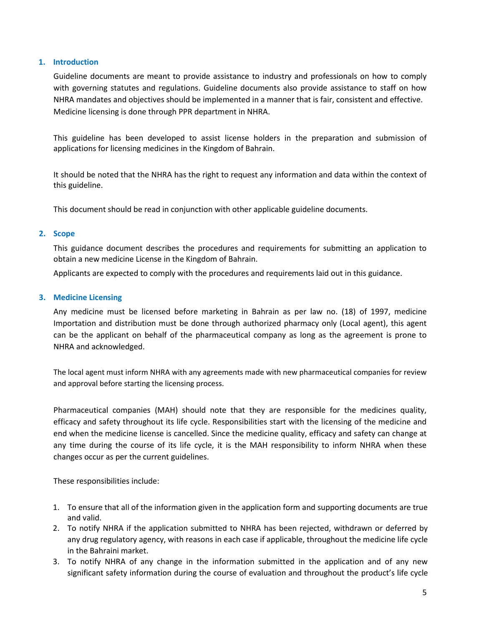#### **1. Introduction**

Guideline documents are meant to provide assistance to industry and professionals on how to comply with governing statutes and regulations. Guideline documents also provide assistance to staff on how NHRA mandates and objectives should be implemented in a manner that is fair, consistent and effective. Medicine licensing is done through PPR department in NHRA.

This guideline has been developed to assist license holders in the preparation and submission of applications for licensing medicines in the Kingdom of Bahrain.

It should be noted that the NHRA has the right to request any information and data within the context of this guideline.

This document should be read in conjunction with other applicable guideline documents.

#### **2. Scope**

This guidance document describes the procedures and requirements for submitting an application to obtain a new medicine License in the Kingdom of Bahrain.

Applicants are expected to comply with the procedures and requirements laid out in this guidance.

#### **3. Medicine Licensing**

Any medicine must be licensed before marketing in Bahrain as per law no. (18) of 1997, medicine Importation and distribution must be done through authorized pharmacy only (Local agent), this agent can be the applicant on behalf of the pharmaceutical company as long as the agreement is prone to NHRA and acknowledged.

The local agent must inform NHRA with any agreements made with new pharmaceutical companies for review and approval before starting the licensing process.

Pharmaceutical companies (MAH) should note that they are responsible for the medicines quality, efficacy and safety throughout its life cycle. Responsibilities start with the licensing of the medicine and end when the medicine license is cancelled. Since the medicine quality, efficacy and safety can change at any time during the course of its life cycle, it is the MAH responsibility to inform NHRA when these changes occur as per the current guidelines.

These responsibilities include:

- 1. To ensure that all of the information given in the application form and supporting documents are true and valid.
- 2. To notify NHRA if the application submitted to NHRA has been rejected, withdrawn or deferred by any drug regulatory agency, with reasons in each case if applicable, throughout the medicine life cycle in the Bahraini market.
- 3. To notify NHRA of any change in the information submitted in the application and of any new significant safety information during the course of evaluation and throughout the product's life cycle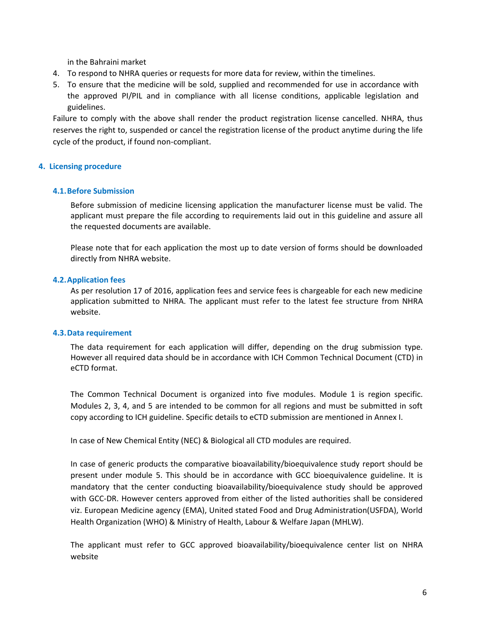in the Bahraini market

- 4. To respond to NHRA queries or requests for more data for review, within the timelines.
- 5. To ensure that the medicine will be sold, supplied and recommended for use in accordance with the approved PI/PIL and in compliance with all license conditions, applicable legislation and guidelines.

Failure to comply with the above shall render the product registration license cancelled. NHRA, thus reserves the right to, suspended or cancel the registration license of the product anytime during the life cycle of the product, if found non-compliant.

#### **4. Licensing procedure**

#### **4.1.Before Submission**

Before submission of medicine licensing application the manufacturer license must be valid. The applicant must prepare the file according to requirements laid out in this guideline and assure all the requested documents are available.

Please note that for each application the most up to date version of forms should be downloaded directly from NHRA website.

#### **4.2.Application fees**

As per resolution 17 of 2016, application fees and service fees is chargeable for each new medicine application submitted to NHRA. The applicant must refer to the latest fee structure from NHRA website.

#### **4.3.Data requirement**

The data requirement for each application will differ, depending on the drug submission type. However all required data should be in accordance with ICH Common Technical Document (CTD) in eCTD format.

The Common Technical Document is organized into five modules. Module 1 is region specific. Modules 2, 3, 4, and 5 are intended to be common for all regions and must be submitted in soft copy according to ICH guideline. Specific details to eCTD submission are mentioned in Annex I.

In case of New Chemical Entity (NEC) & Biological all CTD modules are required.

In case of generic products the comparative bioavailability/bioequivalence study report should be present under module 5. This should be in accordance with GCC bioequivalence guideline. It is mandatory that the center conducting bioavailability/bioequivalence study should be approved with GCC-DR. However centers approved from either of the listed authorities shall be considered viz. European Medicine agency (EMA), United stated Food and Drug Administration(USFDA), World Health Organization (WHO) & Ministry of Health, Labour & Welfare Japan (MHLW).

The applicant must refer to GCC approved bioavailability/bioequivalence center list on NHRA website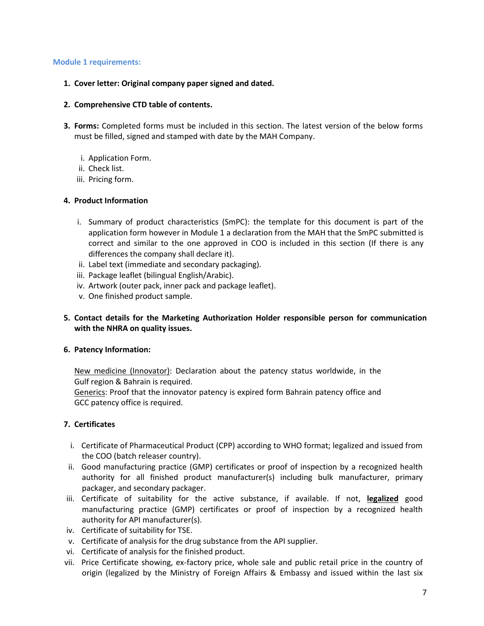#### **Module 1 requirements:**

- **1. Cover letter: Original company paper signed and dated.**
- **2. Comprehensive CTD table of contents.**
- **3. Forms:** Completed forms must be included in this section. The latest version of the below forms must be filled, signed and stamped with date by the MAH Company.
	- i. Application Form.
	- ii. Check list.
	- iii. Pricing form.

#### **4. Product Information**

- i. Summary of product characteristics (SmPC): the template for this document is part of the application form however in Module 1 a declaration from the MAH that the SmPC submitted is correct and similar to the one approved in COO is included in this section (If there is any differences the company shall declare it).
- ii. Label text (immediate and secondary packaging).
- iii. Package leaflet (bilingual English/Arabic).
- iv. Artwork (outer pack, inner pack and package leaflet).
- v. One finished product sample.
- **5. Contact details for the Marketing Authorization Holder responsible person for communication with the NHRA on quality issues.**

#### **6. Patency Information:**

New medicine (Innovator): Declaration about the patency status worldwide, in the Gulf region & Bahrain is required.

Generics: Proof that the innovator patency is expired form Bahrain patency office and GCC patency office is required.

#### **7. Certificates**

- i. Certificate of Pharmaceutical Product (CPP) according to WHO format; legalized and issued from the COO (batch releaser country).
- ii. Good manufacturing practice (GMP) certificates or proof of inspection by a recognized health authority for all finished product manufacturer(s) including bulk manufacturer, primary packager, and secondary packager.
- iii. Certificate of suitability for the active substance, if available. If not, **legalized** good manufacturing practice (GMP) certificates or proof of inspection by a recognized health authority for API manufacturer(s).
- iv. Certificate of suitability for TSE.
- v. Certificate of analysis for the drug substance from the API supplier.
- vi. Certificate of analysis for the finished product.
- vii. Price Certificate showing, ex-factory price, whole sale and public retail price in the country of origin (legalized by the Ministry of Foreign Affairs & Embassy and issued within the last six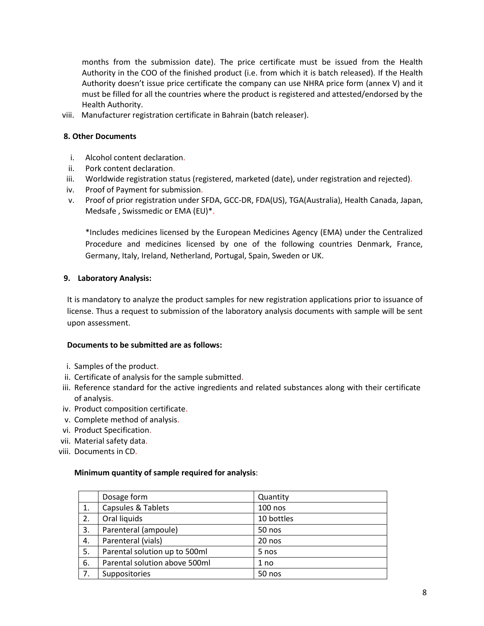months from the submission date). The price certificate must be issued from the Health Authority in the COO of the finished product (i.e. from which it is batch released). If the Health Authority doesn't issue price certificate the company can use NHRA price form (annex V) and it must be filled for all the countries where the product is registered and attested/endorsed by the Health Authority.

viii. Manufacturer registration certificate in Bahrain (batch releaser).

#### **8. Other Documents**

- i. Alcohol content declaration.
- ii. Pork content declaration.
- iii. Worldwide registration status (registered, marketed (date), under registration and rejected).
- iv. Proof of Payment for submission.
- v. Proof of prior registration under SFDA, GCC-DR, FDA(US), TGA(Australia), Health Canada, Japan, Medsafe , Swissmedic or EMA (EU)\*.

\*Includes medicines licensed by the European Medicines Agency (EMA) under the Centralized Procedure and medicines licensed by one of the following countries Denmark, France, Germany, Italy, Ireland, Netherland, Portugal, Spain, Sweden or UK.

#### **9. Laboratory Analysis:**

It is mandatory to analyze the product samples for new registration applications prior to issuance of license. Thus a request to submission of the laboratory analysis documents with sample will be sent upon assessment.

#### **Documents to be submitted are as follows:**

- i. Samples of the product.
- ii. Certificate of analysis for the sample submitted.
- iii. Reference standard for the active ingredients and related substances along with their certificate of analysis.
- iv. Product composition certificate.
- v. Complete method of analysis.
- vi. Product Specification.
- vii. Material safety data.
- viii. Documents in CD.

#### **Minimum quantity of sample required for analysis**:

|    | Dosage form                   | Quantity   |
|----|-------------------------------|------------|
| 1. | Capsules & Tablets            | $100$ nos  |
| 2. | Oral liquids                  | 10 bottles |
| 3. | Parenteral (ampoule)          | 50 nos     |
| 4. | Parenteral (vials)            | 20 nos     |
| 5. | Parental solution up to 500ml | 5 nos      |
| 6. | Parental solution above 500ml | 1 no       |
| 7. | Suppositories                 | 50 nos     |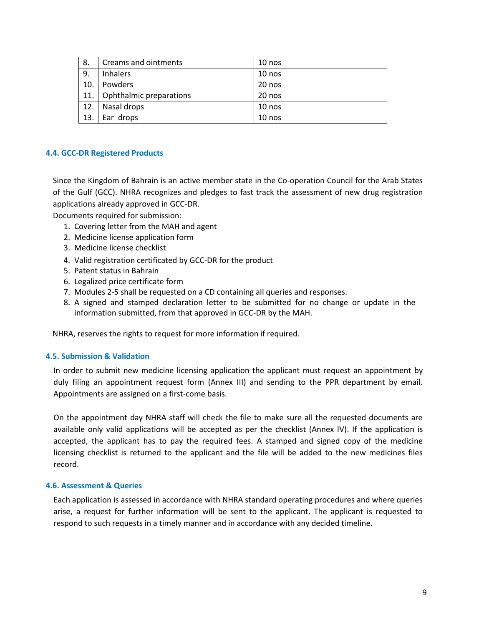| 8.  | Creams and ointments    | $10$ nos |
|-----|-------------------------|----------|
| 9.  | <b>Inhalers</b>         | $10$ nos |
| 10. | Powders                 | 20 nos   |
| 11. | Ophthalmic preparations | 20 nos   |
| 12. | Nasal drops             | $10$ nos |
| 13. | Ear drops               | $10$ nos |

#### **4.4. GCC-DR Registered Products**

Since the Kingdom of Bahrain is an active member state in the Co-operation Council for the Arab States of the Gulf (GCC). NHRA recognizes and pledges to fast track the assessment of new drug registration applications already approved in GCC-DR.

Documents required for submission:

- 1. Covering letter from the MAH and agent
- 2. Medicine license application form
- 3. Medicine license checklist
- 4. Valid registration certificated by GCC-DR for the product
- 5. Patent status in Bahrain
- 6. Legalized price certificate form
- 7. Modules 2-5 shall be requested on a CD containing all queries and responses.
- 8. A signed and stamped declaration letter to be submitted for no change or update in the information submitted, from that approved in GCC-DR by the MAH.

NHRA, reserves the rights to request for more information if required.

#### **4.5. Submission & Validation**

In order to submit new medicine licensing application the applicant must request an appointment by duly filing an appointment request form (Annex III) and sending to the PPR department by email. Appointments are assigned on a first-come basis.

On the appointment day NHRA staff will check the file to make sure all the requested documents are available only valid applications will be accepted as per the checklist (Annex IV). If the application is accepted, the applicant has to pay the required fees. A stamped and signed copy of the medicine licensing checklist is returned to the applicant and the file will be added to the new medicines files record.

#### **4.6. Assessment & Queries**

Each application is assessed in accordance with NHRA standard operating procedures and where queries arise, a request for further information will be sent to the applicant. The applicant is requested to respond to such requests in a timely manner and in accordance with any decided timeline.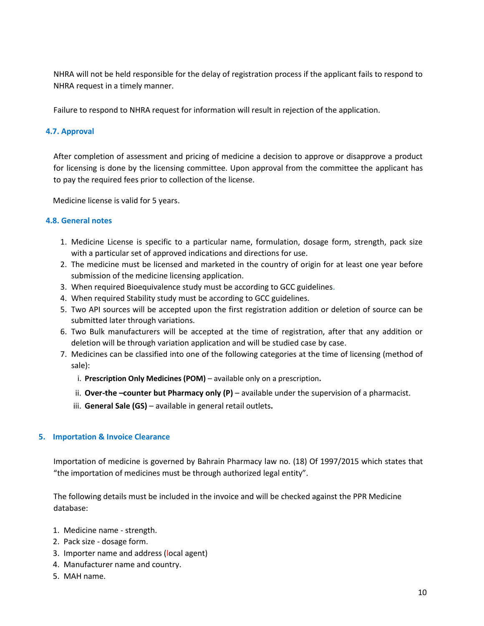NHRA will not be held responsible for the delay of registration process if the applicant fails to respond to NHRA request in a timely manner.

Failure to respond to NHRA request for information will result in rejection of the application.

#### **4.7. Approval**

After completion of assessment and pricing of medicine a decision to approve or disapprove a product for licensing is done by the licensing committee. Upon approval from the committee the applicant has to pay the required fees prior to collection of the license.

Medicine license is valid for 5 years.

#### **4.8. General notes**

- 1. Medicine License is specific to a particular name, formulation, dosage form, strength, pack size with a particular set of approved indications and directions for use.
- 2. The medicine must be licensed and marketed in the country of origin for at least one year before submission of the medicine licensing application.
- 3. When required Bioequivalence study must be according to GCC guidelines.
- 4. When required Stability study must be according to GCC guidelines.
- 5. Two API sources will be accepted upon the first registration addition or deletion of source can be submitted later through variations.
- 6. Two Bulk manufacturers will be accepted at the time of registration, after that any addition or deletion will be through variation application and will be studied case by case.
- 7. Medicines can be classified into one of the following categories at the time of licensing (method of sale):
	- i. **Prescription Only Medicines (POM)**  available only on a prescription**.**
	- ii. **Over-the –counter but Pharmacy only (P)** available under the supervision of a pharmacist.
	- iii. **General Sale (GS)**  available in general retail outlets**.**

#### **5. Importation & Invoice Clearance**

Importation of medicine is governed by Bahrain Pharmacy law no. (18) Of 1997/2015 which states that "the importation of medicines must be through authorized legal entity".

The following details must be included in the invoice and will be checked against the PPR Medicine database:

- 1. Medicine name strength.
- 2. Pack size dosage form.
- 3. Importer name and address (local agent)
- 4. Manufacturer name and country.
- 5. MAH name.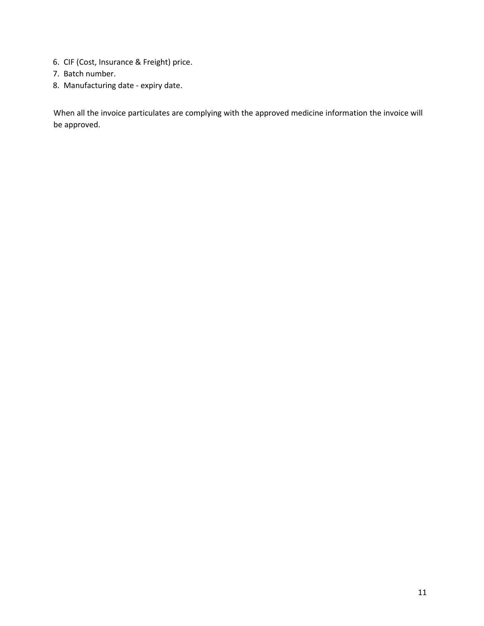- 6. CIF (Cost, Insurance & Freight) price.
- 7. Batch number.
- 8. Manufacturing date expiry date.

When all the invoice particulates are complying with the approved medicine information the invoice will be approved.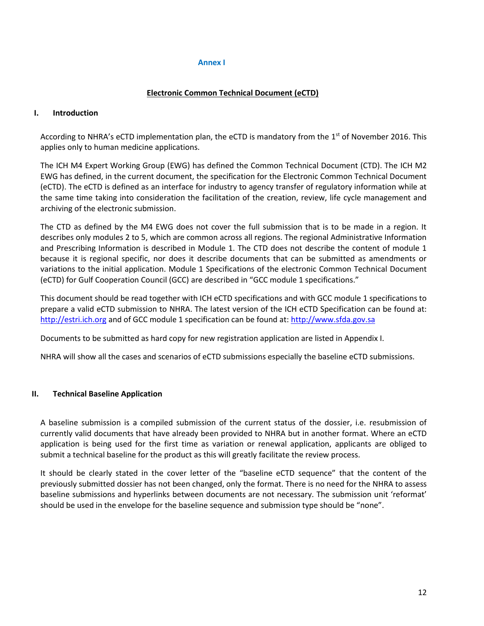#### **Annex I**

#### **Electronic Common Technical Document (eCTD)**

#### **I. Introduction**

According to NHRA's eCTD implementation plan, the eCTD is mandatory from the 1<sup>st</sup> of November 2016. This applies only to human medicine applications.

The ICH M4 Expert Working Group (EWG) has defined the Common Technical Document (CTD). The ICH M2 EWG has defined, in the current document, the specification for the Electronic Common Technical Document (eCTD). The eCTD is defined as an interface for industry to agency transfer of regulatory information while at the same time taking into consideration the facilitation of the creation, review, life cycle management and archiving of the electronic submission.

The CTD as defined by the M4 EWG does not cover the full submission that is to be made in a region. It describes only modules 2 to 5, which are common across all regions. The regional Administrative Information and Prescribing Information is described in Module 1. The CTD does not describe the content of module 1 because it is regional specific, nor does it describe documents that can be submitted as amendments or variations to the initial application. Module 1 Specifications of the electronic Common Technical Document (eCTD) for Gulf Cooperation Council (GCC) are described in "GCC module 1 specifications."

This document should be read together with ICH eCTD specifications and with GCC module 1 specifications to prepare a valid eCTD submission to NHRA. The latest version of the ICH eCTD Specification can be found at: [http://estri.ich.org](http://estri.ich.org/) and of GCC module 1 specification can be found at: [http://www.sfda.gov.sa](http://www.sfda.gov.sa/)

Documents to be submitted as hard copy for new registration application are listed in Appendix I.

NHRA will show all the cases and scenarios of eCTD submissions especially the baseline eCTD submissions.

#### **II. Technical Baseline Application**

A baseline submission is a compiled submission of the current status of the dossier, i.e. resubmission of currently valid documents that have already been provided to NHRA but in another format. Where an eCTD application is being used for the first time as variation or renewal application, applicants are obliged to submit a technical baseline for the product as this will greatly facilitate the review process.

It should be clearly stated in the cover letter of the "baseline eCTD sequence" that the content of the previously submitted dossier has not been changed, only the format. There is no need for the NHRA to assess baseline submissions and hyperlinks between documents are not necessary. The submission unit 'reformat' should be used in the envelope for the baseline sequence and submission type should be "none".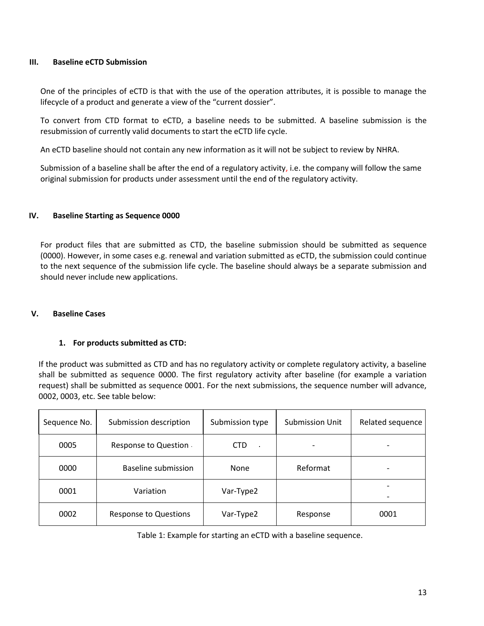#### **III. Baseline eCTD Submission**

One of the principles of eCTD is that with the use of the operation attributes, it is possible to manage the lifecycle of a product and generate a view of the "current dossier".

To convert from CTD format to eCTD, a baseline needs to be submitted. A baseline submission is the resubmission of currently valid documents to start the eCTD life cycle.

An eCTD baseline should not contain any new information as it will not be subject to review by NHRA.

Submission of a baseline shall be after the end of a regulatory activity, i.e. the company will follow the same original submission for products under assessment until the end of the regulatory activity.

#### **IV. Baseline Starting as Sequence 0000**

For product files that are submitted as CTD, the baseline submission should be submitted as sequence (0000). However, in some cases e.g. renewal and variation submitted as eCTD, the submission could continue to the next sequence of the submission life cycle. The baseline should always be a separate submission and should never include new applications.

#### **V. Baseline Cases**

#### **1. For products submitted as CTD:**

If the product was submitted as CTD and has no regulatory activity or complete regulatory activity, a baseline shall be submitted as sequence 0000. The first regulatory activity after baseline (for example a variation request) shall be submitted as sequence 0001. For the next submissions, the sequence number will advance, 0002, 0003, etc. See table below:

| Sequence No. | Submission description       | Submission type      | Submission Unit | Related sequence |
|--------------|------------------------------|----------------------|-----------------|------------------|
| 0005         | Response to Question         | <b>CTD</b><br>$\sim$ |                 |                  |
| 0000         | Baseline submission          | <b>None</b>          | Reformat        |                  |
| 0001         | Variation                    | Var-Type2            |                 |                  |
| 0002         | <b>Response to Questions</b> | Var-Type2            | Response        | 0001             |

Table 1: Example for starting an eCTD with a baseline sequence.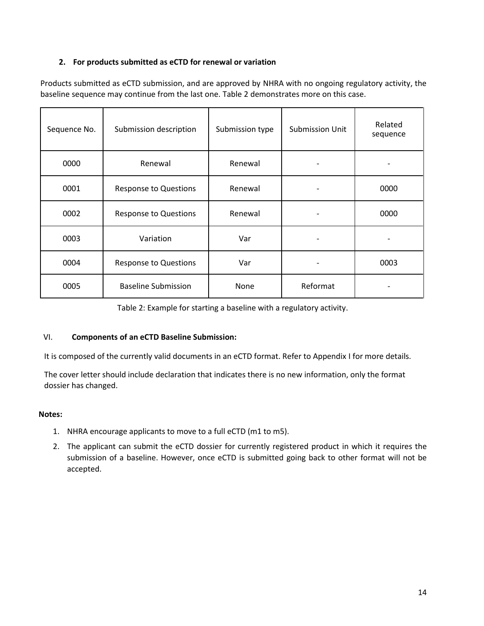#### **2. For products submitted as eCTD for renewal or variation**

Products submitted as eCTD submission, and are approved by NHRA with no ongoing regulatory activity, the baseline sequence may continue from the last one. Table 2 demonstrates more on this case.

| Sequence No. | Submission description       | Submission type | <b>Submission Unit</b> | Related<br>sequence |
|--------------|------------------------------|-----------------|------------------------|---------------------|
| 0000         | Renewal                      | Renewal         |                        |                     |
| 0001         | <b>Response to Questions</b> | Renewal         |                        | 0000                |
| 0002         | <b>Response to Questions</b> | Renewal         |                        | 0000                |
| 0003         | Variation                    | Var             |                        |                     |
| 0004         | <b>Response to Questions</b> | Var             |                        | 0003                |
| 0005         | <b>Baseline Submission</b>   | None            | Reformat               |                     |

Table 2: Example for starting a baseline with a regulatory activity.

#### VI. **Components of an eCTD Baseline Submission:**

It is composed of the currently valid documents in an eCTD format. Refer to Appendix I for more details.

The cover letter should include declaration that indicates there is no new information, only the format dossier has changed.

#### **Notes:**

- 1. NHRA encourage applicants to move to a full eCTD (m1 to m5).
- 2. The applicant can submit the eCTD dossier for currently registered product in which it requires the submission of a baseline. However, once eCTD is submitted going back to other format will not be accepted.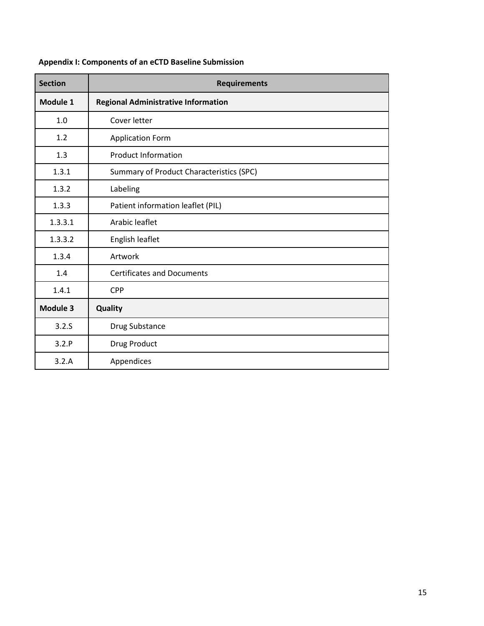| <b>Section</b> | <b>Requirements</b>                        |
|----------------|--------------------------------------------|
| Module 1       | <b>Regional Administrative Information</b> |
| 1.0            | Cover letter                               |
| 1.2            | <b>Application Form</b>                    |
| 1.3            | <b>Product Information</b>                 |
| 1.3.1          | Summary of Product Characteristics (SPC)   |
| 1.3.2          | Labeling                                   |
| 1.3.3          | Patient information leaflet (PIL)          |
| 1.3.3.1        | Arabic leaflet                             |
| 1.3.3.2        | English leaflet                            |
| 1.3.4          | Artwork                                    |
| 1.4            | <b>Certificates and Documents</b>          |
| 1.4.1          | <b>CPP</b>                                 |
| Module 3       | <b>Quality</b>                             |
| 3.2.S          | Drug Substance                             |
| 3.2.P          | Drug Product                               |
| 3.2.A          | Appendices                                 |

## **Appendix I: Components of an eCTD Baseline Submission**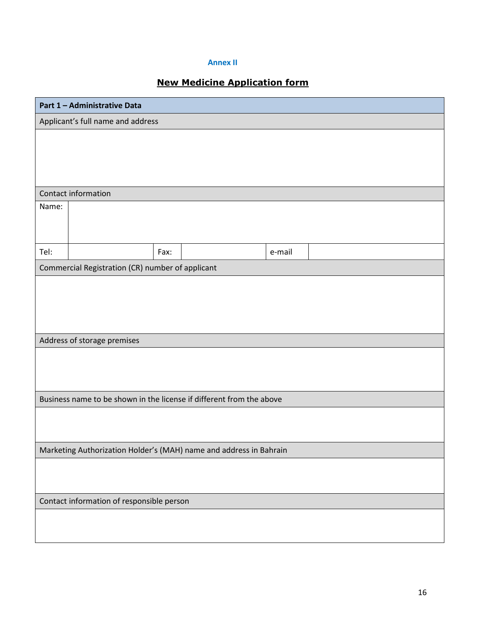#### **Annex II**

## **New Medicine Application form**

| Part 1 - Administrative Data |                                                                      |      |  |        |  |
|------------------------------|----------------------------------------------------------------------|------|--|--------|--|
|                              | Applicant's full name and address                                    |      |  |        |  |
|                              |                                                                      |      |  |        |  |
|                              |                                                                      |      |  |        |  |
|                              |                                                                      |      |  |        |  |
|                              |                                                                      |      |  |        |  |
|                              | Contact information                                                  |      |  |        |  |
| Name:                        |                                                                      |      |  |        |  |
|                              |                                                                      |      |  |        |  |
|                              |                                                                      |      |  |        |  |
| Tel:                         |                                                                      | Fax: |  | e-mail |  |
|                              | Commercial Registration (CR) number of applicant                     |      |  |        |  |
|                              |                                                                      |      |  |        |  |
|                              |                                                                      |      |  |        |  |
|                              |                                                                      |      |  |        |  |
|                              |                                                                      |      |  |        |  |
|                              | Address of storage premises                                          |      |  |        |  |
|                              |                                                                      |      |  |        |  |
|                              |                                                                      |      |  |        |  |
|                              |                                                                      |      |  |        |  |
|                              | Business name to be shown in the license if different from the above |      |  |        |  |
|                              |                                                                      |      |  |        |  |
|                              |                                                                      |      |  |        |  |
|                              | Marketing Authorization Holder's (MAH) name and address in Bahrain   |      |  |        |  |
|                              |                                                                      |      |  |        |  |
|                              |                                                                      |      |  |        |  |
|                              |                                                                      |      |  |        |  |
|                              | Contact information of responsible person                            |      |  |        |  |
|                              |                                                                      |      |  |        |  |
|                              |                                                                      |      |  |        |  |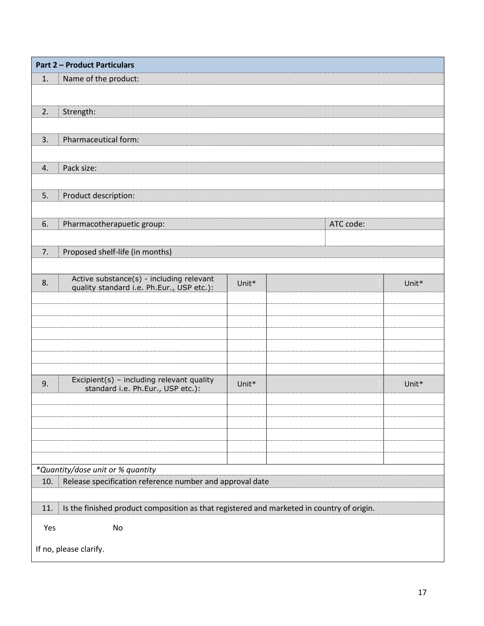| <b>Part 2 - Product Particulars</b>                                                              |       |           |       |
|--------------------------------------------------------------------------------------------------|-------|-----------|-------|
| Name of the product:<br>1.                                                                       |       |           |       |
|                                                                                                  |       |           |       |
| Strength:<br>2.                                                                                  |       |           |       |
|                                                                                                  |       |           |       |
| Pharmaceutical form:<br>3.                                                                       |       |           |       |
|                                                                                                  |       |           |       |
| Pack size:<br>4.                                                                                 |       |           |       |
|                                                                                                  |       |           |       |
| Product description:<br>5.                                                                       |       |           |       |
|                                                                                                  |       |           |       |
| Pharmacotherapuetic group:<br>6.                                                                 |       | ATC code: |       |
| Proposed shelf-life (in months)<br>7.                                                            |       |           |       |
|                                                                                                  |       |           |       |
| Active substance(s) - including relevant<br>8.                                                   | Unit* |           | Unit* |
| quality standard i.e. Ph.Eur., USP etc.):                                                        |       |           |       |
|                                                                                                  |       |           |       |
|                                                                                                  |       |           |       |
|                                                                                                  |       |           |       |
|                                                                                                  |       |           |       |
|                                                                                                  |       |           |       |
| Excipient(s) - including relevant quality<br>9.<br>standard i.e. Ph.Eur., USP etc.):             | Unit* |           | Unit* |
|                                                                                                  |       |           |       |
|                                                                                                  |       |           |       |
|                                                                                                  |       |           |       |
|                                                                                                  |       |           |       |
|                                                                                                  |       |           |       |
| *Quantity/dose unit or % quantity                                                                |       |           |       |
| Release specification reference number and approval date<br>10.                                  |       |           |       |
| Is the finished product composition as that registered and marketed in country of origin.<br>11. |       |           |       |
|                                                                                                  |       |           |       |
| No<br>Yes                                                                                        |       |           |       |
| If no, please clarify.                                                                           |       |           |       |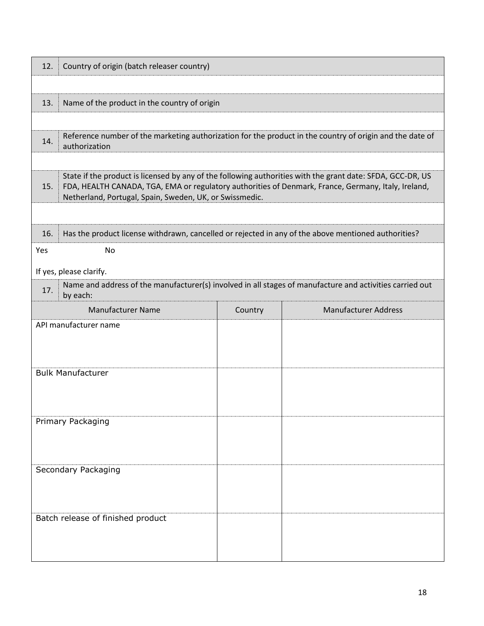| 12. | Country of origin (batch releaser country)                                                                                                                                                                                                                                   |                                              |                             |  |  |  |
|-----|------------------------------------------------------------------------------------------------------------------------------------------------------------------------------------------------------------------------------------------------------------------------------|----------------------------------------------|-----------------------------|--|--|--|
|     |                                                                                                                                                                                                                                                                              |                                              |                             |  |  |  |
| 13. |                                                                                                                                                                                                                                                                              | Name of the product in the country of origin |                             |  |  |  |
|     |                                                                                                                                                                                                                                                                              |                                              |                             |  |  |  |
| 14. | Reference number of the marketing authorization for the product in the country of origin and the date of<br>authorization                                                                                                                                                    |                                              |                             |  |  |  |
|     |                                                                                                                                                                                                                                                                              |                                              |                             |  |  |  |
| 15. | State if the product is licensed by any of the following authorities with the grant date: SFDA, GCC-DR, US<br>FDA, HEALTH CANADA, TGA, EMA or regulatory authorities of Denmark, France, Germany, Italy, Ireland,<br>Netherland, Portugal, Spain, Sweden, UK, or Swissmedic. |                                              |                             |  |  |  |
|     |                                                                                                                                                                                                                                                                              |                                              |                             |  |  |  |
| 16. | Has the product license withdrawn, cancelled or rejected in any of the above mentioned authorities?                                                                                                                                                                          |                                              |                             |  |  |  |
| Yes | <b>No</b>                                                                                                                                                                                                                                                                    |                                              |                             |  |  |  |
|     | If yes, please clarify.                                                                                                                                                                                                                                                      |                                              |                             |  |  |  |
| 17. | Name and address of the manufacturer(s) involved in all stages of manufacture and activities carried out<br>by each:                                                                                                                                                         |                                              |                             |  |  |  |
|     | <b>Manufacturer Name</b>                                                                                                                                                                                                                                                     | Country                                      | <b>Manufacturer Address</b> |  |  |  |
|     | API manufacturer name                                                                                                                                                                                                                                                        |                                              |                             |  |  |  |
|     |                                                                                                                                                                                                                                                                              |                                              |                             |  |  |  |
|     | <b>Bulk Manufacturer</b>                                                                                                                                                                                                                                                     |                                              |                             |  |  |  |
|     |                                                                                                                                                                                                                                                                              |                                              |                             |  |  |  |
|     |                                                                                                                                                                                                                                                                              |                                              |                             |  |  |  |
|     | Primary Packaging                                                                                                                                                                                                                                                            |                                              |                             |  |  |  |
|     |                                                                                                                                                                                                                                                                              |                                              |                             |  |  |  |
|     | Secondary Packaging                                                                                                                                                                                                                                                          |                                              |                             |  |  |  |
|     |                                                                                                                                                                                                                                                                              |                                              |                             |  |  |  |
|     |                                                                                                                                                                                                                                                                              |                                              |                             |  |  |  |
|     | Batch release of finished product                                                                                                                                                                                                                                            |                                              |                             |  |  |  |
|     |                                                                                                                                                                                                                                                                              |                                              |                             |  |  |  |
|     |                                                                                                                                                                                                                                                                              |                                              |                             |  |  |  |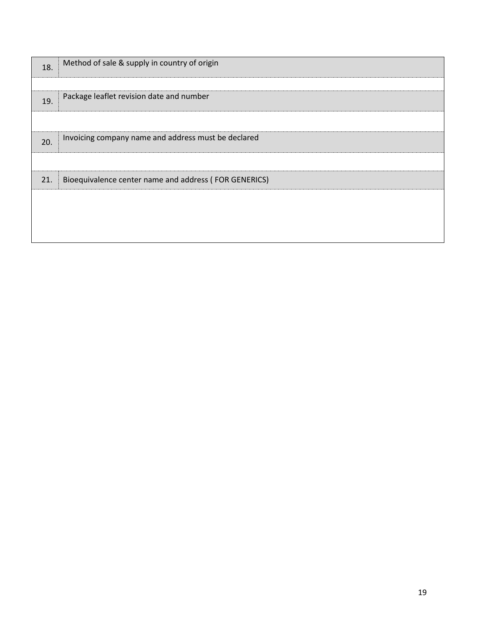| 18. | Method of sale & supply in country of origin          |
|-----|-------------------------------------------------------|
| 19. | Package leaflet revision date and number              |
|     |                                                       |
| 20. | Invoicing company name and address must be declared   |
|     |                                                       |
| 21. | Bioequivalence center name and address (FOR GENERICS) |
|     |                                                       |
|     |                                                       |
|     |                                                       |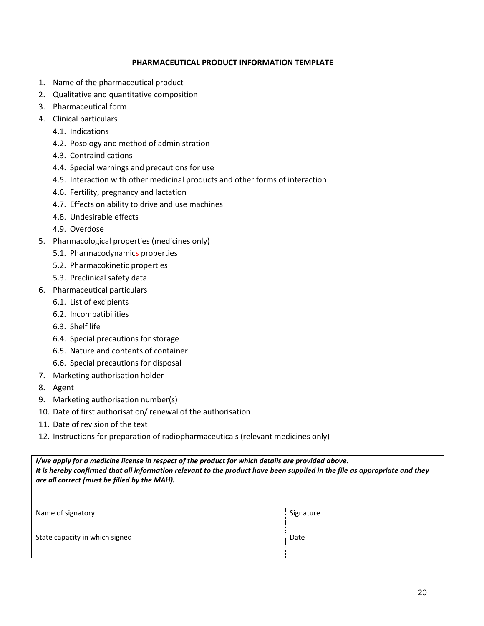#### **PHARMACEUTICAL PRODUCT INFORMATION TEMPLATE**

- 1. Name of the pharmaceutical product
- 2. Qualitative and quantitative composition
- 3. Pharmaceutical form
- 4. Clinical particulars
	- 4.1. Indications
	- 4.2. Posology and method of administration
	- 4.3. Contraindications
	- 4.4. Special warnings and precautions for use
	- 4.5. Interaction with other medicinal products and other forms of interaction
	- 4.6. Fertility, pregnancy and lactation
	- 4.7. Effects on ability to drive and use machines
	- 4.8. Undesirable effects
	- 4.9. Overdose
- 5. Pharmacological properties (medicines only)
	- 5.1. Pharmacodynamics properties
	- 5.2. Pharmacokinetic properties
	- 5.3. Preclinical safety data
- 6. Pharmaceutical particulars
	- 6.1. List of excipients
	- 6.2. Incompatibilities
	- 6.3. Shelf life
	- 6.4. Special precautions for storage
	- 6.5. Nature and contents of container
	- 6.6. Special precautions for disposal
- 7. Marketing authorisation holder
- 8. Agent
- 9. Marketing authorisation number(s)
- 10. Date of first authorisation/ renewal of the authorisation
- 11. Date of revision of the text
- 12. Instructions for preparation of radiopharmaceuticals (relevant medicines only)

| I/we apply for a medicine license in respect of the product for which details are provided above.<br>It is hereby confirmed that all information relevant to the product have been supplied in the file as appropriate and they<br>are all correct (must be filled by the MAH). |           |  |  |  |
|---------------------------------------------------------------------------------------------------------------------------------------------------------------------------------------------------------------------------------------------------------------------------------|-----------|--|--|--|
| Name of signatory                                                                                                                                                                                                                                                               | Signature |  |  |  |
| State capacity in which signed                                                                                                                                                                                                                                                  | Date      |  |  |  |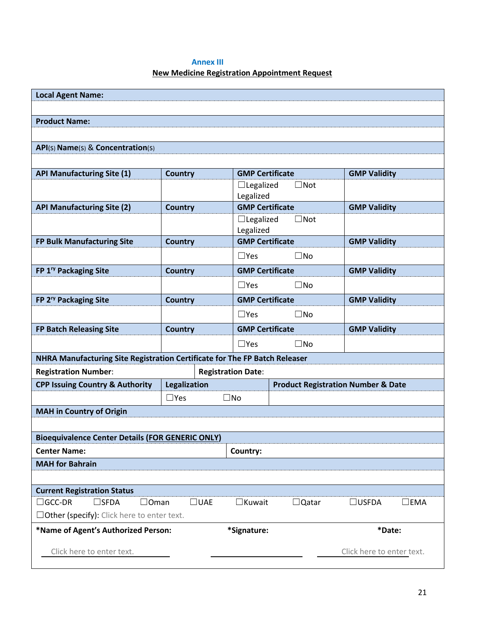#### **Annex III**

### **New Medicine Registration Appointment Request**

| <b>Local Agent Name:</b>                                                                                                          |                     |                                               |               |                           |  |  |
|-----------------------------------------------------------------------------------------------------------------------------------|---------------------|-----------------------------------------------|---------------|---------------------------|--|--|
|                                                                                                                                   |                     |                                               |               |                           |  |  |
| <b>Product Name:</b>                                                                                                              |                     |                                               |               |                           |  |  |
|                                                                                                                                   |                     |                                               |               |                           |  |  |
| API(s) Name(s) & Concentration(s)                                                                                                 |                     |                                               |               |                           |  |  |
|                                                                                                                                   |                     |                                               |               |                           |  |  |
| <b>API Manufacturing Site (1)</b>                                                                                                 | <b>Country</b>      | <b>GMP Certificate</b>                        |               | <b>GMP Validity</b>       |  |  |
|                                                                                                                                   |                     | $\Box$ Legalized                              | $\Box$ Not    |                           |  |  |
|                                                                                                                                   |                     | Legalized                                     |               |                           |  |  |
| <b>API Manufacturing Site (2)</b>                                                                                                 | <b>Country</b>      | <b>GMP Certificate</b><br>$\Box$ Legalized    | $\square$ Not | <b>GMP Validity</b>       |  |  |
|                                                                                                                                   |                     | Legalized                                     |               |                           |  |  |
| FP Bulk Manufacturing Site                                                                                                        | <b>Country</b>      | <b>GMP Certificate</b>                        |               | <b>GMP Validity</b>       |  |  |
|                                                                                                                                   |                     | $\Box$ Yes                                    | $\square$ No  |                           |  |  |
| FP 1 <sup>ry</sup> Packaging Site                                                                                                 | <b>Country</b>      | <b>GMP Certificate</b>                        |               | <b>GMP Validity</b>       |  |  |
|                                                                                                                                   |                     | $\Box$ Yes                                    | $\square$ No  |                           |  |  |
| FP 2 <sup>ry</sup> Packaging Site                                                                                                 | <b>Country</b>      | <b>GMP Certificate</b>                        |               | <b>GMP Validity</b>       |  |  |
|                                                                                                                                   |                     |                                               |               |                           |  |  |
|                                                                                                                                   |                     | $\Box$ Yes                                    | $\square$ No  |                           |  |  |
| <b>FP Batch Releasing Site</b>                                                                                                    | <b>Country</b>      | <b>GMP Certificate</b>                        |               | <b>GMP Validity</b>       |  |  |
|                                                                                                                                   |                     | $\Box$ Yes                                    | $\square$ No  |                           |  |  |
| NHRA Manufacturing Site Registration Certificate for The FP Batch Releaser                                                        |                     |                                               |               |                           |  |  |
| <b>Registration Number:</b>                                                                                                       |                     | <b>Registration Date:</b>                     |               |                           |  |  |
| <b>CPP Issuing Country &amp; Authority</b>                                                                                        | <b>Legalization</b> | <b>Product Registration Number &amp; Date</b> |               |                           |  |  |
|                                                                                                                                   | $\Box$ Yes          | $\square$ No                                  |               |                           |  |  |
| <b>MAH</b> in Country of Origin                                                                                                   |                     |                                               |               |                           |  |  |
|                                                                                                                                   |                     |                                               |               |                           |  |  |
| <b>Bioequivalence Center Details (FOR GENERIC ONLY)</b>                                                                           |                     |                                               |               |                           |  |  |
| <b>Center Name:</b>                                                                                                               |                     | Country:                                      |               |                           |  |  |
| <b>MAH</b> for Bahrain                                                                                                            |                     |                                               |               |                           |  |  |
|                                                                                                                                   |                     |                                               |               |                           |  |  |
| <b>Current Registration Status</b>                                                                                                |                     |                                               |               |                           |  |  |
| $\Box$ GCC-DR<br>$\square$ SFDA<br>$\square$ uae<br>$\Box$ Kuwait<br>$\square$ EMA<br>$\Box$ Oman<br>$\Box$ Qatar<br>$\Box$ USFDA |                     |                                               |               |                           |  |  |
| $\Box$ Other (specify): Click here to enter text.                                                                                 |                     |                                               |               |                           |  |  |
| *Name of Agent's Authorized Person:                                                                                               |                     | *Signature:                                   |               | *Date:                    |  |  |
| Click here to enter text.                                                                                                         |                     |                                               |               | Click here to enter text. |  |  |
|                                                                                                                                   |                     |                                               |               |                           |  |  |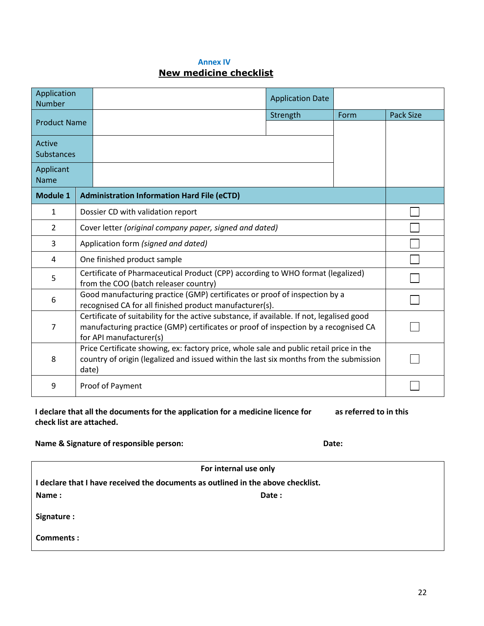#### **Annex IV**

# **New medicine checklist**

| Application<br><b>Number</b> |                                                                                                                                                                                                             |                                                    |          |      |                  |  |
|------------------------------|-------------------------------------------------------------------------------------------------------------------------------------------------------------------------------------------------------------|----------------------------------------------------|----------|------|------------------|--|
| <b>Product Name</b>          |                                                                                                                                                                                                             |                                                    | Strength | Form | <b>Pack Size</b> |  |
|                              |                                                                                                                                                                                                             |                                                    |          |      |                  |  |
| Active<br><b>Substances</b>  |                                                                                                                                                                                                             |                                                    |          |      |                  |  |
| Applicant<br><b>Name</b>     |                                                                                                                                                                                                             |                                                    |          |      |                  |  |
| <b>Module 1</b>              |                                                                                                                                                                                                             | <b>Administration Information Hard File (eCTD)</b> |          |      |                  |  |
| $\mathbf{1}$                 | Dossier CD with validation report                                                                                                                                                                           |                                                    |          |      |                  |  |
| $\overline{2}$               | Cover letter (original company paper, signed and dated)                                                                                                                                                     |                                                    |          |      |                  |  |
| 3                            | Application form (signed and dated)                                                                                                                                                                         |                                                    |          |      |                  |  |
| 4                            | One finished product sample                                                                                                                                                                                 |                                                    |          |      |                  |  |
| 5.                           | Certificate of Pharmaceutical Product (CPP) according to WHO format (legalized)<br>from the COO (batch releaser country)                                                                                    |                                                    |          |      |                  |  |
| 6                            | Good manufacturing practice (GMP) certificates or proof of inspection by a<br>recognised CA for all finished product manufacturer(s).                                                                       |                                                    |          |      |                  |  |
| 7                            | Certificate of suitability for the active substance, if available. If not, legalised good<br>manufacturing practice (GMP) certificates or proof of inspection by a recognised CA<br>for API manufacturer(s) |                                                    |          |      |                  |  |
| 8                            | Price Certificate showing, ex: factory price, whole sale and public retail price in the<br>country of origin (legalized and issued within the last six months from the submission<br>date)                  |                                                    |          |      |                  |  |
| 9                            | Proof of Payment                                                                                                                                                                                            |                                                    |          |      |                  |  |

**I declare that all the documents for the application for a medicine licence for as referred to in this check list are attached.**

### **Name & Signature of responsible person: Date:**

|                                                                                  | For internal use only |  |  |  |  |
|----------------------------------------------------------------------------------|-----------------------|--|--|--|--|
| I declare that I have received the documents as outlined in the above checklist. |                       |  |  |  |  |
| Name:                                                                            | Date:                 |  |  |  |  |
| Signature :                                                                      |                       |  |  |  |  |
| Comments:                                                                        |                       |  |  |  |  |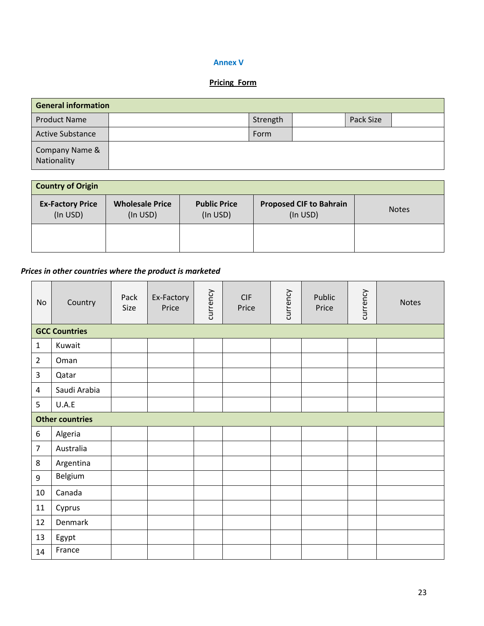#### **Annex V**

#### **Pricing Form**

| <b>General information</b>    |  |          |  |           |  |  |
|-------------------------------|--|----------|--|-----------|--|--|
| <b>Product Name</b>           |  | Strength |  | Pack Size |  |  |
| <b>Active Substance</b>       |  | Form     |  |           |  |  |
| Company Name &<br>Nationality |  |          |  |           |  |  |

| <b>Country of Origin</b>            |                                    |                                 |                                            |              |  |  |  |
|-------------------------------------|------------------------------------|---------------------------------|--------------------------------------------|--------------|--|--|--|
| <b>Ex-Factory Price</b><br>(In USD) | <b>Wholesale Price</b><br>(In USD) | <b>Public Price</b><br>(In USD) | <b>Proposed CIF to Bahrain</b><br>(In USD) | <b>Notes</b> |  |  |  |
|                                     |                                    |                                 |                                            |              |  |  |  |

## *Prices in other countries where the product is marketed*

| No             | Country                | Pack<br>Size | Ex-Factory<br>Price | currency | CIF<br>Price | currency | Public<br>Price | currency | <b>Notes</b> |
|----------------|------------------------|--------------|---------------------|----------|--------------|----------|-----------------|----------|--------------|
|                | <b>GCC Countries</b>   |              |                     |          |              |          |                 |          |              |
| $\mathbf{1}$   | Kuwait                 |              |                     |          |              |          |                 |          |              |
| $\overline{2}$ | Oman                   |              |                     |          |              |          |                 |          |              |
| 3              | Qatar                  |              |                     |          |              |          |                 |          |              |
| 4              | Saudi Arabia           |              |                     |          |              |          |                 |          |              |
| 5              | U.A.E                  |              |                     |          |              |          |                 |          |              |
|                | <b>Other countries</b> |              |                     |          |              |          |                 |          |              |
| 6              | Algeria                |              |                     |          |              |          |                 |          |              |
| $\overline{7}$ | Australia              |              |                     |          |              |          |                 |          |              |
| $\,8\,$        | Argentina              |              |                     |          |              |          |                 |          |              |
| 9              | Belgium                |              |                     |          |              |          |                 |          |              |
| 10             | Canada                 |              |                     |          |              |          |                 |          |              |
| $11\,$         | Cyprus                 |              |                     |          |              |          |                 |          |              |
| 12             | Denmark                |              |                     |          |              |          |                 |          |              |
| 13             | Egypt                  |              |                     |          |              |          |                 |          |              |
| 14             | France                 |              |                     |          |              |          |                 |          |              |